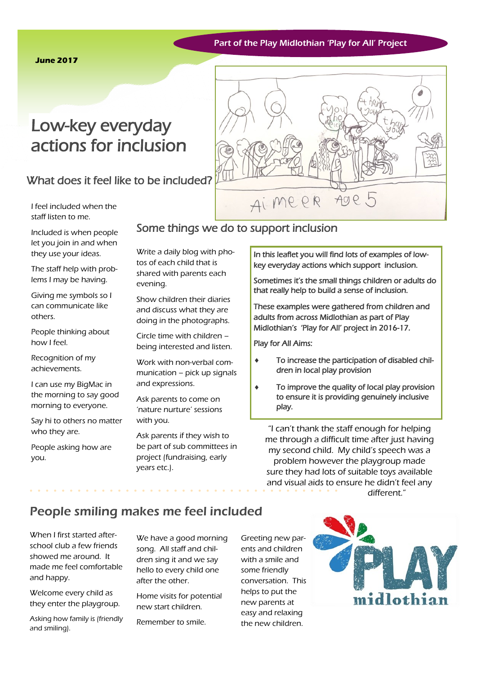Part of the Play Midlothian 'Play for All' Project

**June 2017**

# Low-key everyday actions for inclusion

#### What does it feel like to be included?

I feel included when the staff listen to me.

Included is when people let you join in and when they use your ideas.

The staff help with problems I may be having.

Giving me symbols so I can communicate like others.

People thinking about how I feel.

Recognition of my achievements.

I can use my BigMac in the morning to say good morning to everyone.

Say hi to others no matter who they are.

People asking how are you.

Some things we do to support inclusion

Write a daily blog with photos of each child that is shared with parents each evening.

Show children their diaries and discuss what they are doing in the photographs.

Circle time with children – being interested and listen.

Work with non-verbal communication – pick up signals and expressions.

Ask parents to come on 'nature nurture' sessions with you.

Ask parents if they wish to be part of sub committees in project (fundraising, early years etc.).

In this leaflet you will find lots of examples of lowkey everyday actions which support inclusion.

Age 5

Sometimes it's the small things children or adults do that really help to build a sense of inclusion.

These examples were gathered from children and adults from across Midlothian as part of Play Midlothian's 'Play for All' project in 2016-17.

Play for All Aims:

AIMEER

- To increase the participation of disabled children in local play provision
- To improve the quality of local play provision to ensure it is providing genuinely inclusive play.

"I can't thank the staff enough for helping me through a difficult time after just having my second child. My child's speech was a problem however the playgroup made sure they had lots of suitable toys available and visual aids to ensure he didn't feel any different"

# People smiling makes me feel included

When I first started afterschool club a few friends showed me around. It made me feel comfortable and happy.

Welcome every child as they enter the playgroup.

Asking how family is (friendly and smiling).

We have a good morning song. All staff and children sing it and we say hello to every child one after the other.

Home visits for potential new start children.

Remember to smile.

Greeting new parents and children with a smile and some friendly conversation. This helps to put the new parents at easy and relaxing the new children.

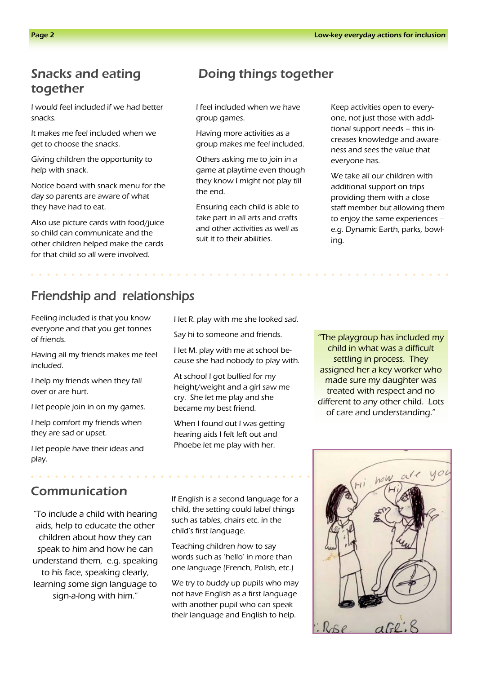# together

I would feel included if we had better snacks.

It makes me feel included when we get to choose the snacks.

Giving children the opportunity to help with snack.

Notice board with snack menu for the day so parents are aware of what they have had to eat.

Also use picture cards with food/juice so child can communicate and the other children helped make the cards for that child so all were involved.

#### Snacks and eating **Doing things together**

I feel included when we have group games.

Having more activities as a group makes me feel included.

Others asking me to join in a game at playtime even though they know I might not play till the end.

Ensuring each child is able to take part in all arts and crafts and other activities as well as suit it to their abilities.

Keep activities open to everyone, not just those with additional support needs – this increases knowledge and awareness and sees the value that everyone has.

We take all our children with additional support on trips providing them with a close staff member but allowing them to enjoy the same experiences – e.g. Dynamic Earth, parks, bowling.

#### Friendship and relationships

Feeling included is that you know everyone and that you get tonnes of friends.

Having all my friends makes me feel included.

I help my friends when they fall over or are hurt.

I let people join in on my games.

I help comfort my friends when they are sad or upset.

I let people have their ideas and play.

#### Communication

"To include a child with hearing aids, help to educate the other children about how they can speak to him and how he can understand them, e.g. speaking to his face, speaking clearly, learning some sign language to sign-a-long with him."

I let R. play with me she looked sad.

Say hi to someone and friends.

I let M. play with me at school because she had nobody to play with.

At school I got bullied for my height/weight and a girl saw me cry. She let me play and she became my best friend.

When I found out I was getting hearing aids I felt left out and Phoebe let me play with her.

"The playgroup has included my child in what was a difficult settling in process. They assigned her a key worker who made sure my daughter was treated with respect and no different to any other child. Lots of care and understanding."

If English is a second language for a child, the setting could label things such as tables, chairs etc. in the child's first language.

Teaching children how to say words such as 'hello' in more than one language (French, Polish, etc.)

We try to buddy up pupils who may not have English as a first language with another pupil who can speak their language and English to help.

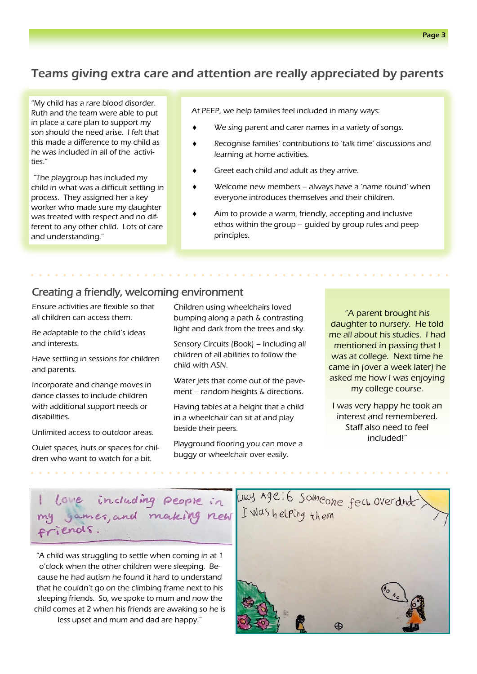#### Teams giving extra care and attention are really appreciated by parents

"My child has a rare blood disorder. Ruth and the team were able to put in place a care plan to support my son should the need arise. I felt that this made a difference to my child as he was included in all of the activities."

"The playgroup has included my child in what was a difficult settling in process. They assigned her a key worker who made sure my daughter was treated with respect and no different to any other child. Lots of care and understanding."

At PEEP, we help families feel included in many ways:

- We sing parent and carer names in a variety of songs.
- Recognise families' contributions to 'talk time' discussions and learning at home activities.
- Greet each child and adult as they arrive.
- Welcome new members always have a 'name round' when everyone introduces themselves and their children.
- Aim to provide a warm, friendly, accepting and inclusive ethos within the group – guided by group rules and peep principles.

#### Creating a friendly, welcoming environment

Ensure activities are flexible so that all children can access them.

Be adaptable to the child's ideas and interests.

Have settling in sessions for children and parents.

Incorporate and change moves in dance classes to include children with additional support needs or disabilities.

Unlimited access to outdoor areas.

Quiet spaces, huts or spaces for children who want to watch for a bit.

Children using wheelchairs loved bumping along a path & contrasting light and dark from the trees and sky.

Sensory Circuits (Book) – Including all children of all abilities to follow the child with ASN.

Water jets that come out of the pavement – random heights & directions.

Having tables at a height that a child in a wheelchair can sit at and play beside their peers.

Playground flooring you can move a buggy or wheelchair over easily.

"A parent brought his daughter to nursery. He told me all about his studies. I had mentioned in passing that I was at college. Next time he came in (over a week later) he asked me how I was enjoying my college course.

I was very happy he took an interest and remembered. Staff also need to feel included!"

# Lone including people in games, and making new friends.

"A child was struggling to settle when coming in at 1 o'clock when the other children were sleeping. Because he had autism he found it hard to understand that he couldn't go on the climbing frame next to his sleeping friends. So, we spoke to mum and now the child comes at 2 when his friends are awaking so he is less upset and mum and dad are happy."